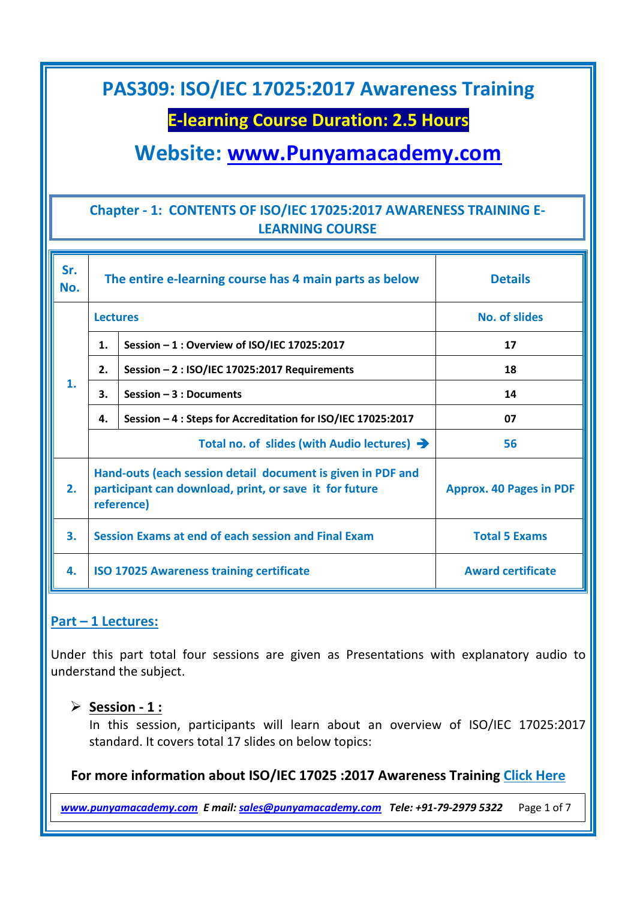### **E-learning Course Duration: 2.5 Hours**

**Website: [www.Punyamacademy.com](http://www.punyamacademy.com/)**

### **Chapter - 1: CONTENTS OF ISO/IEC 17025:2017 AWARENESS TRAINING E-LEARNING COURSE**

| Sr.<br>No. | The entire e-learning course has 4 main parts as below                                                                              |                                                              | <b>Details</b>                 |
|------------|-------------------------------------------------------------------------------------------------------------------------------------|--------------------------------------------------------------|--------------------------------|
| 1.         | <b>Lectures</b>                                                                                                                     |                                                              | <b>No. of slides</b>           |
|            | 1.                                                                                                                                  | Session - 1 : Overview of ISO/IEC 17025:2017                 | 17                             |
|            | 2.                                                                                                                                  | Session - 2 : ISO/IEC 17025:2017 Requirements                | 18                             |
|            | 3.                                                                                                                                  | Session $-3:$ Documents                                      | 14                             |
|            | 4.                                                                                                                                  | Session - 4 : Steps for Accreditation for ISO/IEC 17025:2017 | 07                             |
|            | Total no. of slides (with Audio lectures) $\rightarrow$                                                                             |                                                              | 56                             |
| 2.         | Hand-outs (each session detail document is given in PDF and<br>participant can download, print, or save it for future<br>reference) |                                                              | <b>Approx. 40 Pages in PDF</b> |
| 3.         |                                                                                                                                     | Session Exams at end of each session and Final Exam          | <b>Total 5 Exams</b>           |
| 4.         |                                                                                                                                     | <b>ISO 17025 Awareness training certificate</b>              | <b>Award certificate</b>       |

### **Part – 1 Lectures:**

Under this part total four sessions are given as Presentations with explanatory audio to understand the subject.

#### **Session - 1 :**

In this session, participants will learn about an overview of ISO/IEC 17025:2017 standard. It covers total 17 slides on below topics:

### **For more information about ISO/IEC 17025 :2017 Awareness Training [Click Here](https://www.punyamacademy.com/course/lms/iso-17025-awareness-training)**

*[www.punyamacademy.com](https://www.punyamacademy.com/) E mail[: sales@punyamacademy.com](mailto:sales@punyamacademy.com) Tele: +91-79-2979 5322* Page 1 of 7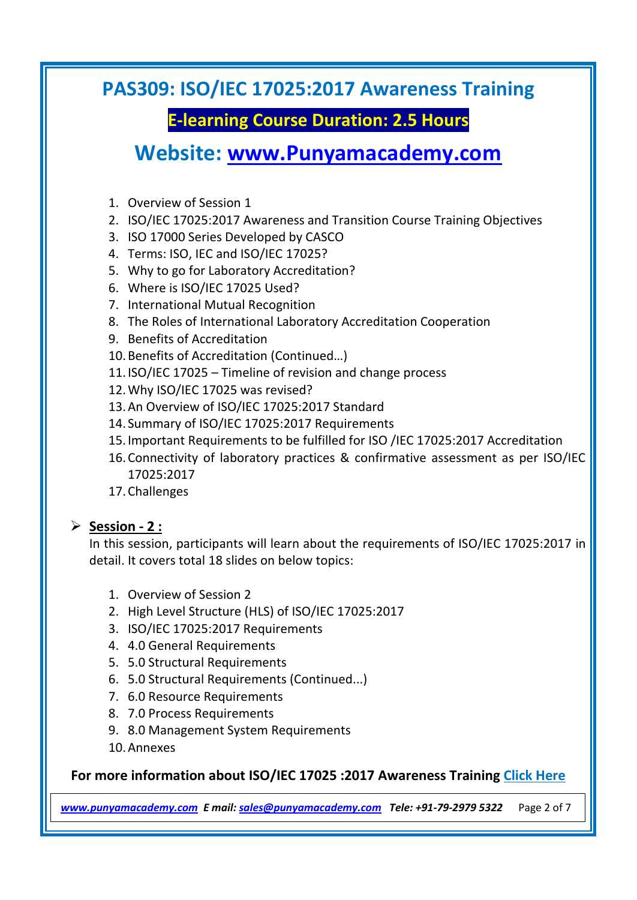# **E-learning Course Duration: 2.5 Hours**

# **Website: [www.Punyamacademy.com](http://www.punyamacademy.com/)**

- 1. Overview of Session 1
- 2. ISO/IEC 17025:2017 Awareness and Transition Course Training Objectives
- 3. ISO 17000 Series Developed by CASCO
- 4. Terms: ISO, IEC and ISO/IEC 17025?
- 5. Why to go for Laboratory Accreditation?
- 6. Where is ISO/IEC 17025 Used?
- 7. International Mutual Recognition
- 8. The Roles of International Laboratory Accreditation Cooperation
- 9. Benefits of Accreditation
- 10.Benefits of Accreditation (Continued…)
- 11.ISO/IEC 17025 Timeline of revision and change process
- 12.Why ISO/IEC 17025 was revised?
- 13.An Overview of ISO/IEC 17025:2017 Standard
- 14. Summary of ISO/IEC 17025:2017 Requirements
- 15.Important Requirements to be fulfilled for ISO /IEC 17025:2017 Accreditation
- 16.Connectivity of laboratory practices & confirmative assessment as per ISO/IEC 17025:2017
- 17.Challenges

### **Session - 2 :**

In this session, participants will learn about the requirements of ISO/IEC 17025:2017 in detail. It covers total 18 slides on below topics:

- 1. Overview of Session 2
- 2. High Level Structure (HLS) of ISO/IEC 17025:2017
- 3. ISO/IEC 17025:2017 Requirements
- 4. 4.0 General Requirements
- 5. 5.0 Structural Requirements
- 6. 5.0 Structural Requirements (Continued...)
- 7. 6.0 Resource Requirements
- 8. 7.0 Process Requirements
- 9. 8.0 Management System Requirements
- 10.Annexes

### **For more information about ISO/IEC 17025 :2017 Awareness Training [Click Here](https://www.punyamacademy.com/course/lms/iso-17025-awareness-training)**

*[www.punyamacademy.com](https://www.punyamacademy.com/) E mail[: sales@punyamacademy.com](mailto:sales@punyamacademy.com) Tele: +91-79-2979 5322* Page 2 of 7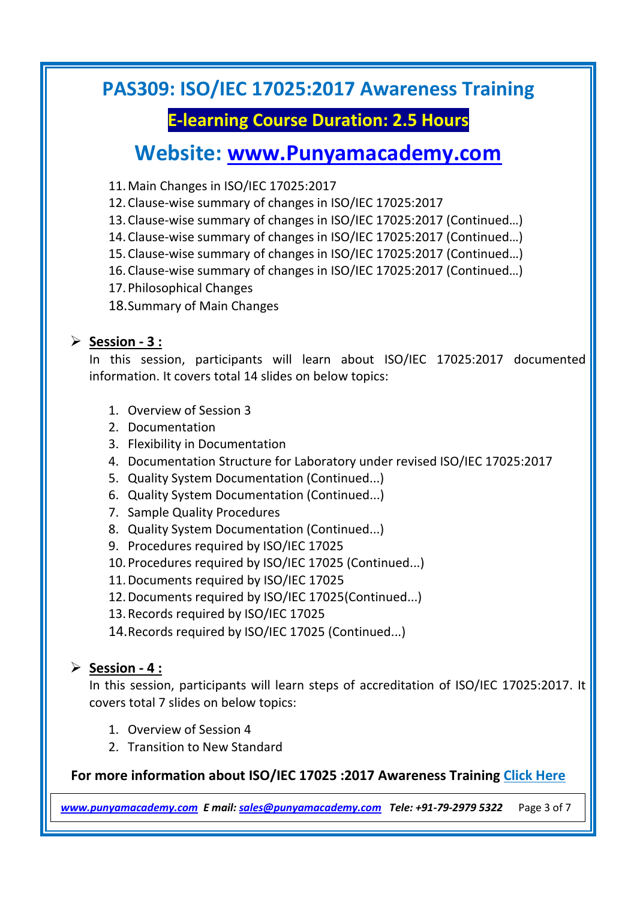# **E-learning Course Duration: 2.5 Hours**

# **Website: [www.Punyamacademy.com](http://www.punyamacademy.com/)**

- 11.Main Changes in ISO/IEC 17025:2017
- 12.Clause-wise summary of changes in ISO/IEC 17025:2017
- 13.Clause-wise summary of changes in ISO/IEC 17025:2017 (Continued…)
- 14.Clause-wise summary of changes in ISO/IEC 17025:2017 (Continued…)
- 15.Clause-wise summary of changes in ISO/IEC 17025:2017 (Continued…)
- 16.Clause-wise summary of changes in ISO/IEC 17025:2017 (Continued…)
- 17.Philosophical Changes
- 18.Summary of Main Changes

### **Session - 3 :**

In this session, participants will learn about ISO/IEC 17025:2017 documented information. It covers total 14 slides on below topics:

- 1. Overview of Session 3
- 2. Documentation
- 3. Flexibility in Documentation
- 4. Documentation Structure for Laboratory under revised ISO/IEC 17025:2017
- 5. Quality System Documentation (Continued...)
- 6. Quality System Documentation (Continued...)
- 7. Sample Quality Procedures
- 8. Quality System Documentation (Continued...)
- 9. Procedures required by ISO/IEC 17025
- 10.Procedures required by ISO/IEC 17025 (Continued...)
- 11.Documents required by ISO/IEC 17025
- 12.Documents required by ISO/IEC 17025(Continued...)
- 13.Records required by ISO/IEC 17025
- 14.Records required by ISO/IEC 17025 (Continued...)

### **Session - 4 :**

In this session, participants will learn steps of accreditation of ISO/IEC 17025:2017. It covers total 7 slides on below topics:

- 1. Overview of Session 4
- 2. Transition to New Standard

### **For more information about ISO/IEC 17025 :2017 Awareness Training [Click Here](https://www.punyamacademy.com/course/lms/iso-17025-awareness-training)**

*[www.punyamacademy.com](https://www.punyamacademy.com/) E mail[: sales@punyamacademy.com](mailto:sales@punyamacademy.com) Tele: +91-79-2979 5322* Page 3 of 7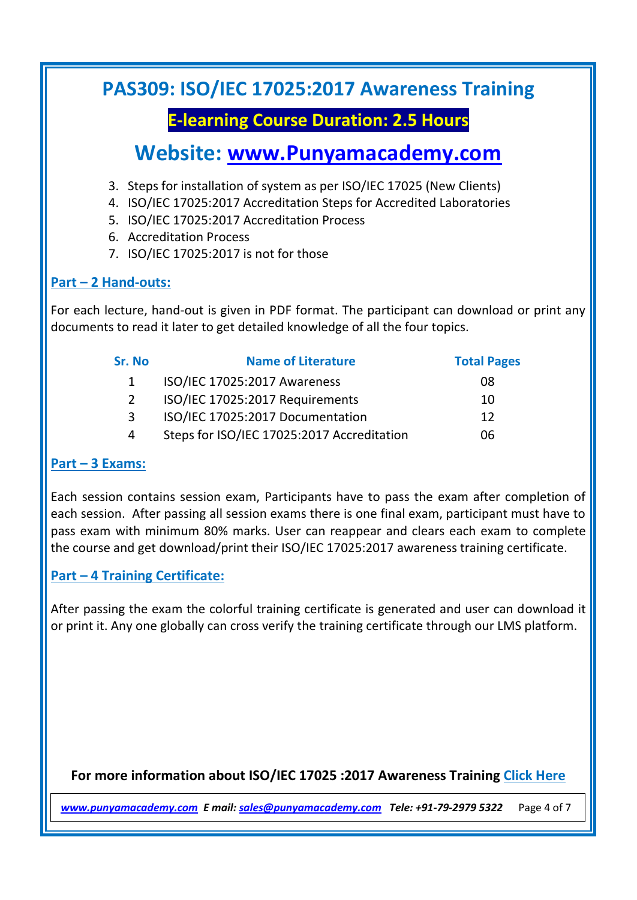# **E-learning Course Duration: 2.5 Hours**

# **Website: [www.Punyamacademy.com](http://www.punyamacademy.com/)**

- 3. Steps for installation of system as per ISO/IEC 17025 (New Clients)
- 4. ISO/IEC 17025:2017 Accreditation Steps for Accredited Laboratories
- 5. ISO/IEC 17025:2017 Accreditation Process
- 6. Accreditation Process
- 7. ISO/IEC 17025:2017 is not for those

### **Part – 2 Hand-outs:**

For each lecture, hand-out is given in PDF format. The participant can download or print any documents to read it later to get detailed knowledge of all the four topics.

| Sr. No        | <b>Name of Literature</b>                  | <b>Total Pages</b> |
|---------------|--------------------------------------------|--------------------|
|               | ISO/IEC 17025:2017 Awareness               | 08                 |
| $\mathcal{P}$ | ISO/IEC 17025:2017 Requirements            | 10                 |
| 3             | ISO/IEC 17025:2017 Documentation           | 12                 |
| 4             | Steps for ISO/IEC 17025:2017 Accreditation | 06                 |
|               |                                            |                    |

### **Part – 3 Exams:**

Each session contains session exam, Participants have to pass the exam after completion of each session. After passing all session exams there is one final exam, participant must have to pass exam with minimum 80% marks. User can reappear and clears each exam to complete the course and get download/print their ISO/IEC 17025:2017 awareness training certificate.

### **Part – 4 Training Certificate:**

After passing the exam the colorful training certificate is generated and user can download it or print it. Any one globally can cross verify the training certificate through our LMS platform.

### **For more information about ISO/IEC 17025 :2017 Awareness Training [Click Here](https://www.punyamacademy.com/course/lms/iso-17025-awareness-training)**

*[www.punyamacademy.com](https://www.punyamacademy.com/) E mail[: sales@punyamacademy.com](mailto:sales@punyamacademy.com) Tele: +91-79-2979 5322* Page 4 of 7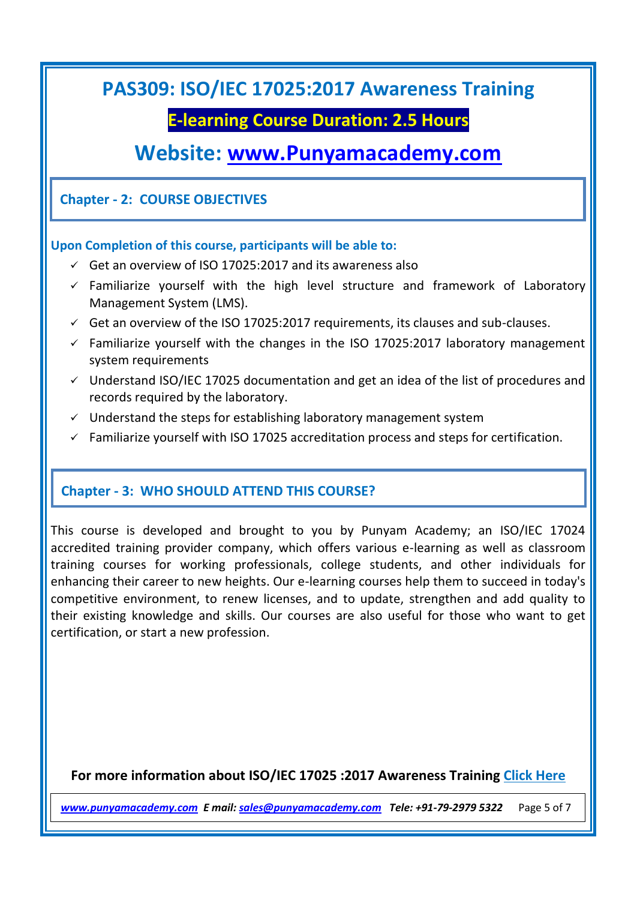### **E-learning Course Duration: 2.5 Hours**

# **Website: [www.Punyamacademy.com](http://www.punyamacademy.com/)**

### **Chapter - 2: COURSE OBJECTIVES**

#### **Upon Completion of this course, participants will be able to:**

- $\checkmark$  Get an overview of ISO 17025:2017 and its awareness also
- $\checkmark$  Familiarize yourself with the high level structure and framework of Laboratory Management System (LMS).
- $\checkmark$  Get an overview of the ISO 17025:2017 requirements, its clauses and sub-clauses.
- $\checkmark$  Familiarize yourself with the changes in the ISO 17025:2017 laboratory management system requirements
- $\checkmark$  Understand ISO/IEC 17025 documentation and get an idea of the list of procedures and records required by the laboratory.
- $\checkmark$  Understand the steps for establishing laboratory management system
- $\checkmark$  Familiarize yourself with ISO 17025 accreditation process and steps for certification.

### **Chapter - 3: WHO SHOULD ATTEND THIS COURSE?**

This course is developed and brought to you by Punyam Academy; an ISO/IEC 17024 accredited training provider company, which offers various e-learning as well as classroom training courses for working professionals, college students, and other individuals for enhancing their career to new heights. Our e-learning courses help them to succeed in today's competitive environment, to renew licenses, and to update, strengthen and add quality to their existing knowledge and skills. Our courses are also useful for those who want to get certification, or start a new profession.

### **For more information about ISO/IEC 17025 :2017 Awareness Training [Click Here](https://www.punyamacademy.com/course/lms/iso-17025-awareness-training)**

*[www.punyamacademy.com](https://www.punyamacademy.com/) E mail[: sales@punyamacademy.com](mailto:sales@punyamacademy.com) Tele: +91-79-2979 5322* Page 5 of 7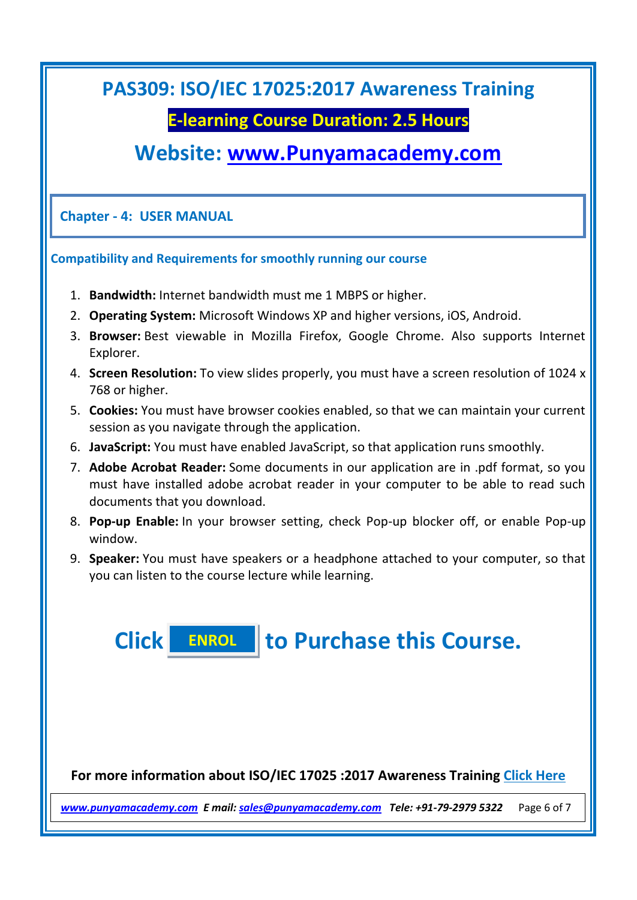### **E-learning Course Duration: 2.5 Hours**

# **Website: [www.Punyamacademy.com](http://www.punyamacademy.com/)**

**Chapter - 4: USER MANUAL**

#### **Compatibility and Requirements for smoothly running our course**

- 1. **Bandwidth:** Internet bandwidth must me 1 MBPS or higher.
- 2. **Operating System:** Microsoft Windows XP and higher versions, iOS, Android.
- 3. **Browser:** Best viewable in Mozilla Firefox, Google Chrome. Also supports Internet Explorer.
- 4. **Screen Resolution:** To view slides properly, you must have a screen resolution of 1024 x 768 or higher.
- 5. **Cookies:** You must have browser cookies enabled, so that we can maintain your current session as you navigate through the application.
- 6. **JavaScript:** You must have enabled JavaScript, so that application runs smoothly.
- 7. **Adobe Acrobat Reader:** Some documents in our application are in .pdf format, so you must have installed adobe acrobat reader in your computer to be able to read such documents that you download.
- 8. **Pop-up Enable:** In your browser setting, check Pop-up blocker off, or enable Pop-up window.
- 9. **Speaker:** You must have speakers or a headphone attached to your computer, so that you can listen to the course lecture while learning.

**Click to Purchase this Course. [ENROL](https://www.punyamacademy.com/book/iso-17025-awareness-training)**

**For more information about ISO/IEC 17025 :2017 Awareness Training [Click Here](https://www.punyamacademy.com/course/lms/iso-17025-awareness-training)**

*[www.punyamacademy.com](https://www.punyamacademy.com/) E mail[: sales@punyamacademy.com](mailto:sales@punyamacademy.com) Tele: +91-79-2979 5322* Page 6 of 7